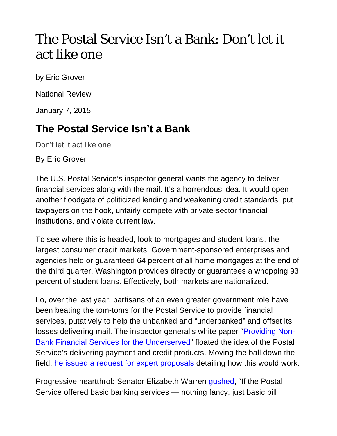## The Postal Service Isn't a Bank: Don't let it act like one

by Eric Grover

National Review

January 7, 2015

## **The Postal Service Isn't a Bank**

Don't let it act like one.

By Eric Grover

The U.S. Postal Service's inspector general wants the agency to deliver financial services along with the mail. It's a horrendous idea. It would open another floodgate of politicized lending and weakening credit standards, put taxpayers on the hook, unfairly compete with private-sector financial institutions, and violate current law.

To see where this is headed, look to mortgages and student loans, the largest consumer credit markets. Government-sponsored enterprises and agencies held or guaranteed 64 percent of all home mortgages at the end of the third quarter. Washington provides directly or guarantees a whopping 93 percent of student loans. Effectively, both markets are nationalized.

Lo, over the last year, partisans of an even greater government role have been beating the tom-toms for the Postal Service to provide financial services, putatively to help the unbanked and "underbanked" and offset its losses delivering mail. The inspector general's white paper "Providing Non-Bank Financial Services for the Underserved" floated the idea of the Postal Service's delivering payment and credit products. Moving the ball down the field, he issued a request for expert proposals detailing how this would work.

Progressive heartthrob Senator Elizabeth Warren gushed, "If the Postal Service offered basic banking services — nothing fancy, just basic bill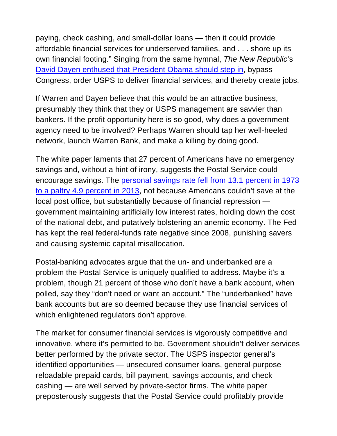paying, check cashing, and small-dollar loans — then it could provide affordable financial services for underserved families, and . . . shore up its own financial footing." Singing from the same hymnal, *The New Republic*'s David Dayen enthused that President Obama should step in, bypass Congress, order USPS to deliver financial services, and thereby create jobs.

If Warren and Dayen believe that this would be an attractive business, presumably they think that they or USPS management are savvier than bankers. If the profit opportunity here is so good, why does a government agency need to be involved? Perhaps Warren should tap her well-heeled network, launch Warren Bank, and make a killing by doing good.

The white paper laments that 27 percent of Americans have no emergency savings and, without a hint of irony, suggests the Postal Service could encourage savings. The personal savings rate fell from 13.1 percent in 1973 to a paltry 4.9 percent in 2013, not because Americans couldn't save at the local post office, but substantially because of financial repression government maintaining artificially low interest rates, holding down the cost of the national debt, and putatively bolstering an anemic economy. The Fed has kept the real federal-funds rate negative since 2008, punishing savers and causing systemic capital misallocation.

Postal-banking advocates argue that the un- and underbanked are a problem the Postal Service is uniquely qualified to address. Maybe it's a problem, though 21 percent of those who don't have a bank account, when polled, say they "don't need or want an account." The "underbanked" have bank accounts but are so deemed because they use financial services of which enlightened regulators don't approve.

The market for consumer financial services is vigorously competitive and innovative, where it's permitted to be. Government shouldn't deliver services better performed by the private sector. The USPS inspector general's identified opportunities — unsecured consumer loans, general-purpose reloadable prepaid cards, bill payment, savings accounts, and check cashing — are well served by private-sector firms. The white paper preposterously suggests that the Postal Service could profitably provide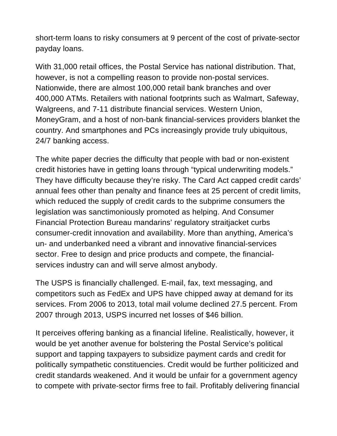short-term loans to risky consumers at 9 percent of the cost of private-sector payday loans.

With 31,000 retail offices, the Postal Service has national distribution. That, however, is not a compelling reason to provide non-postal services. Nationwide, there are almost 100,000 retail bank branches and over 400,000 ATMs. Retailers with national footprints such as Walmart, Safeway, Walgreens, and 7-11 distribute financial services. Western Union, MoneyGram, and a host of non-bank financial-services providers blanket the country. And smartphones and PCs increasingly provide truly ubiquitous, 24/7 banking access.

The white paper decries the difficulty that people with bad or non-existent credit histories have in getting loans through "typical underwriting models." They have difficulty because they're risky. The Card Act capped credit cards' annual fees other than penalty and finance fees at 25 percent of credit limits, which reduced the supply of credit cards to the subprime consumers the legislation was sanctimoniously promoted as helping. And Consumer Financial Protection Bureau mandarins' regulatory straitjacket curbs consumer-credit innovation and availability. More than anything, America's un- and underbanked need a vibrant and innovative financial-services sector. Free to design and price products and compete, the financialservices industry can and will serve almost anybody.

The USPS is financially challenged. E-mail, fax, text messaging, and competitors such as FedEx and UPS have chipped away at demand for its services. From 2006 to 2013, total mail volume declined 27.5 percent. From 2007 through 2013, USPS incurred net losses of \$46 billion.

It perceives offering banking as a financial lifeline. Realistically, however, it would be yet another avenue for bolstering the Postal Service's political support and tapping taxpayers to subsidize payment cards and credit for politically sympathetic constituencies. Credit would be further politicized and credit standards weakened. And it would be unfair for a government agency to compete with private-sector firms free to fail. Profitably delivering financial